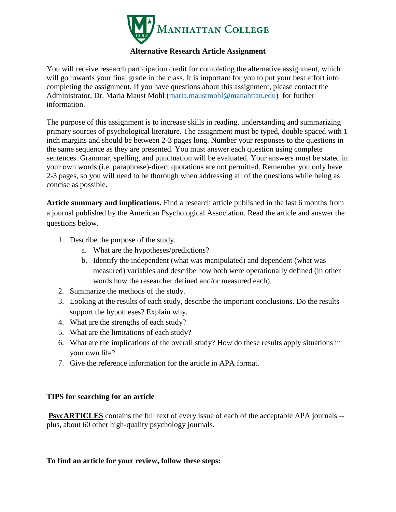

## **Alternative Research Article Assignment**

You will receive research participation credit for completing the alternative assignment, which will go towards your final grade in the class. It is important for you to put your best effort into completing the assignment. If you have questions about this assignment, please contact the Administrator, Dr. Maria Maust Mohl [\(maria.maustmohl@manahttan.edu\)](mailto:maria.maustmohl@manahttan.edu) for further information.

The purpose of this assignment is to increase skills in reading, understanding and summarizing primary sources of psychological literature. The assignment must be typed, double spaced with 1 inch margins and should be between 2-3 pages long. Number your responses to the questions in the same sequence as they are presented. You must answer each question using complete sentences. Grammar, spelling, and punctuation will be evaluated. Your answers must be stated in your own words (i.e. paraphrase)-direct quotations are not permitted. Remember you only have 2-3 pages, so you will need to be thorough when addressing all of the questions while being as concise as possible.

**Article summary and implications.** Find a research article published in the last 6 months from a journal published by the American Psychological Association. Read the article and answer the questions below.

- 1. Describe the purpose of the study.
	- a. What are the hypotheses/predictions?
	- b. Identify the independent (what was manipulated) and dependent (what was measured) variables and describe how both were operationally defined (in other words how the researcher defined and/or measured each).
- 2. Summarize the methods of the study.
- 3. Looking at the results of each study, describe the important conclusions. Do the results support the hypotheses? Explain why.
- 4. What are the strengths of each study?
- 5. What are the limitations of each study?
- 6. What are the implications of the overall study? How do these results apply situations in your own life?
- 7. Give the reference information for the article in APA format.

## **TIPS for searching for an article**

**PsycARTICLES** contains the full text of every issue of each of the acceptable APA journals -plus, about 60 other high-quality psychology journals.

## **To find an article for your review, follow these steps:**